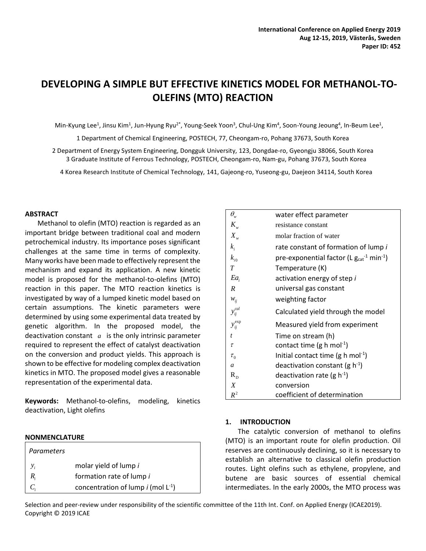# **DEVELOPING A SIMPLE BUT EFFECTIVE KINETICS MODEL FOR METHANOL-TO-OLEFINS (MTO) REACTION**

Min-Kyung Lee<sup>1</sup>, Jinsu Kim<sup>1</sup>, Jun-Hyung Ryu<sup>2\*</sup>, Young-Seek Yoon<sup>3</sup>, Chul-Ung Kim<sup>4</sup>, Soon-Young Jeoung<sup>4</sup>, In-Beum Lee<sup>1</sup>,

1 Department of Chemical Engineering, POSTECH, 77, Cheongam-ro, Pohang 37673, South Korea

2 Department of Energy System Engineering, Dongguk University, 123, Dongdae-ro, Gyeongju 38066, South Korea 3 Graduate Institute of Ferrous Technology, POSTECH, Cheongam-ro, Nam-gu, Pohang 37673, South Korea

4 Korea Research Institute of Chemical Technology, 141, Gajeong-ro, Yuseong-gu, Daejeon 34114, South Korea

#### **ABSTRACT**

Methanol to olefin (MTO) reaction is regarded as an important bridge between traditional coal and modern petrochemical industry. Its importance poses significant challenges at the same time in terms of complexity. Many works have been made to effectively represent the mechanism and expand its application. A new kinetic model is proposed for the methanol-to-olefins (MTO) reaction in this paper. The MTO reaction kinetics is investigated by way of a lumped kinetic model based on certain assumptions. The kinetic parameters were determined by using some experimental data treated by genetic algorithm. In the proposed model, the deactivation constant  $a$  is the only intrinsic parameter required to represent the effect of catalyst deactivation on the conversion and product yields. This approach is shown to be effective for modeling complex deactivation kinetics in MTO. The proposed model gives a reasonable representation of the experimental data.

**Keywords:** Methanol-to-olefins, modeling, kinetics deactivation, Light olefins

#### **NONMENCLATURE**

| Parameters  |                                         |
|-------------|-----------------------------------------|
| $y_i$       | molar yield of lump i                   |
| $R_{\cdot}$ | formation rate of lump i                |
|             | concentration of lump i (mol $L^{-1}$ ) |

| $\theta_{\tiny{\text{w}}}$ | water effect parameter                                       |
|----------------------------|--------------------------------------------------------------|
| $K_{w}$                    | resistance constant                                          |
| $X_{w}$                    | molar fraction of water                                      |
| $k_i$                      | rate constant of formation of lump i                         |
| $k_{i0}$                   | pre-exponential factor (L $g_{cat}^{-1}$ min <sup>-1</sup> ) |
| $\overline{T}$             | Temperature (K)                                              |
| $Ea_i$                     | activation energy of step i                                  |
| R                          | universal gas constant                                       |
| $W_{ij}$                   | weighting factor                                             |
| $y_{ij}^{cal}$             | Calculated yield through the model                           |
|                            |                                                              |
| $y_{ij}^{\exp}$            | Measured yield from experiment                               |
| $\mathbf{t}$               | Time on stream (h)                                           |
| $\tau$                     | contact time (g h mol <sup>-1</sup> )                        |
| $\tau_{0}$                 | Initial contact time (g h mol <sup>-1</sup> )                |
| $\mathfrak a$              | deactivation constant (g $h^{-1}$ )                          |
| $R_{D}$                    | deactivation rate (g $h^{-1}$ )                              |
| X                          | conversion                                                   |

### **1. INTRODUCTION**

The catalytic conversion of methanol to olefins (MTO) is an important route for olefin production. Oil reserves are continuously declining, so it is necessary to establish an alternative to classical olefin production routes. Light olefins such as ethylene, propylene, and butene are basic sources of essential chemical intermediates. In the early 2000s, the MTO process was

Selection and peer-review under responsibility of the scientific committee of the 11th Int. Conf. on Applied Energy (ICAE2019). Copyright © 2019 ICAE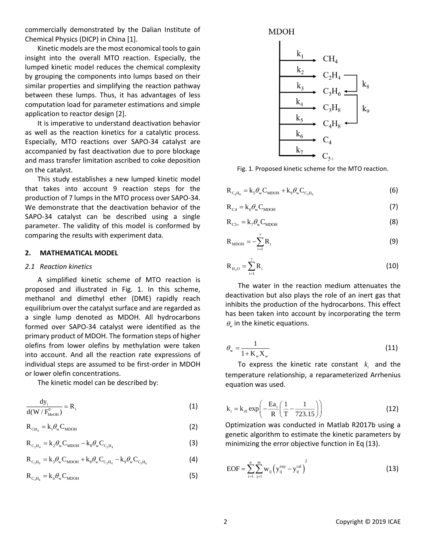commercially demonstrated by the Dalian Institute of Chemical Physics (DICP) in China [1].

Kinetic models are the most economical tools to gain insight into the overall MTO reaction. Especially, the lumped kinetic model reduces the chemical complexity by grouping the components into lumps based on their similar properties and simplifying the reaction pathway between these lumps. Thus, it has advantages of less computation load for parameter estimations and simple application to reactor design [2].

It is imperative to understand deactivation behavior as well as the reaction kinetics for a catalytic process. Especially, MTO reactions over SAPO-34 catalyst are accompanied by fast deactivation due to pore blockage and mass transfer limitation ascribed to coke deposition on the catalyst.

This study establishes a new lumped kinetic model that takes into account 9 reaction steps for the production of 7 lumps in the MTO process over SAPO-34. We demonstrate that the deactivation behavior of the SAPO-34 catalyst can be described using a single parameter. The validity of this model is conformed by comparing the results with experiment data.

### **2. MATHEMATICAL MODEL**

#### *2.1 Reaction kinetics*

A simplified kinetic scheme of MTO reaction is proposed and illustrated in Fig. 1. In this scheme, methanol and dimethyl ether (DME) rapidly reach equilibrium over the catalyst surface and are regarded as a single lump denoted as MDOH. All hydrocarbons formed over SAPO-34 catalyst were identified as the primary product of MDOH. The formation steps of higher olefins from lower olefins by methylation were taken into account. And all the reaction rate expressions of individual steps are assumed to be first-order in MDOH or lower olefin concentrations.

The kinetic model can be described by:

$$
\frac{\mathrm{d}y_{i}}{\mathrm{d}(W/F_{\text{MeOH}}^{0})} = R_{i}
$$
 (1)

$$
R_{\text{CH}_4} = k_1 \theta_w C_{\text{MDOH}}
$$
 (2)

$$
R_{C_2H_4} = k_2 \theta_w C_{MDOH} - k_8 \theta_w C_{C_2H_4}
$$
 (3)

$$
R_{C_3H_6} = k_3 \theta_w C_{MDOH} + k_8 \theta_w C_{C_2H_4} - k_9 \theta_w C_{C_3H_6}
$$
 (4)

$$
R_{C_3H_8} = k_4 \theta_w C_{MDOH}
$$
 (5)





Fig. 1. Proposed kinetic scheme for the MTO reaction.

$$
\mathbf{R}_{\mathrm{C}_4\mathrm{H}_8} = \mathbf{k}_5 \theta_{\mathrm{w}} \mathbf{C}_{\mathrm{MDOH}} + \mathbf{k}_9 \theta_{\mathrm{w}} \mathbf{C}_{\mathrm{C}_3\mathrm{H}_6}
$$
(6)

$$
R_{C4} = k_6 \theta_w C_{MDOH} \tag{7}
$$

$$
\mathbf{R}_{\mathrm{C5+}} = \mathbf{k}_{7} \theta_{\mathrm{w}} \mathbf{C}_{\mathrm{MDOH}} \tag{8}
$$

$$
\mathbf{R}_{\text{MDOH}} = -\sum_{i=1}^{7} \mathbf{R}_{i}
$$
 (9)

$$
R_{H_{2}O} = \sum_{i=1}^{7} R_{i}
$$
 (10)

The water in the reaction medium attenuates the deactivation but also plays the role of an inert gas that inhibits the production of the hydrocarbons. This effect has been taken into account by incorporating the term  $\theta_{w}$  in the kinetic equations.

$$
\theta_{\rm w} = \frac{1}{1 + \mathbf{K}_{\rm w} \mathbf{X}_{\rm w}}
$$
\n(11)

To express the kinetic rate constant  $k_i$  and the temperature relationship, a reparameterized Arrhenius equation was used.

$$
k_{i} = k_{i0} \exp\left(-\frac{Ea_{i}}{R}\left(\frac{1}{T} - \frac{1}{723.15}\right)\right)
$$
 (12)

Optimization was conducted in Matlab R2017b using a genetic algorithm to estimate the kinetic parameters by minimizing the error objective function in Eq (13).

$$
EOF = \sum_{i=1}^{n} \sum_{j=1}^{m} w_{ij} \left( y_{ij}^{exp} - y_{ij}^{cal} \right)^{2}
$$
 (13)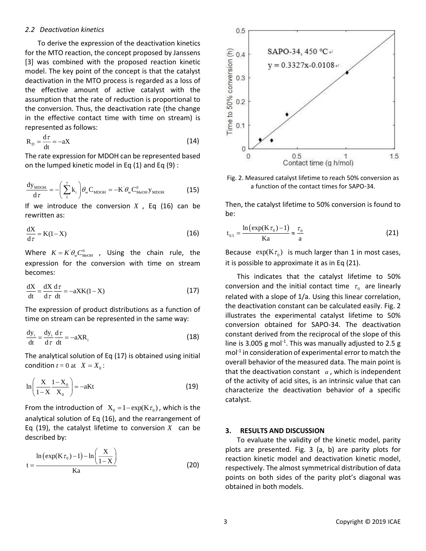#### *2.2 Deactivation kinetics*

To derive the expression of the deactivation kinetics for the MTO reaction, the concept proposed by Janssens [3] was combined with the proposed reaction kinetic model. The key point of the concept is that the catalyst deactivation in the MTO process is regarded as a loss of the effective amount of active catalyst with the assumption that the rate of reduction is proportional to the conversion. Thus, the deactivation rate (the change in the effective contact time with time on stream) is represented as follows:

$$
R_{\rm p} = \frac{d\tau}{dt} = -aX\tag{14}
$$

The rate expression for MDOH can be represented based on the lumped kinetic model in Eq (1) and Eq (9) :

$$
\frac{dy_{\text{MDOH}}}{d\tau} = -\left(\sum_{i}^{7} k_{i}\right) \theta_{\text{w}} C_{\text{MDOH}} = -K \theta_{\text{w}} C_{\text{MeOH}}^{0} y_{\text{MDOH}} \tag{15}
$$

If we introduce the conversion  $X$ , Eq  $(16)$  can be rewritten as:

$$
\frac{dX}{d\tau} = K(1 - X) \tag{16}
$$

Where  $K = K \theta_w C_{MeOH}^0$ , Using the chain rule, the expression for the conversion with time on stream becomes:

$$
\frac{dX}{dt} = \frac{dX}{d\tau} \frac{d\tau}{dt} = -aXK(1-X)
$$
 (17)

The expression of product distributions as a function of time on stream can be represented in the same way:

$$
\frac{dy_i}{dt} = \frac{dy_i}{d\tau} \frac{d\tau}{dt} = -aXR_i
$$
\n(18)

The analytical solution of Eq (17) is obtained using initial condition  $t = 0$  at  $X = X_0$ :

$$
\ln\left(\frac{X}{1-X}\frac{1-X_0}{X_0}\right) = -aKt
$$
\n(19)

From the introduction of  $X_0 = 1 - \exp(K\tau_0)$ , which is the analytical solution of Eq (16), and the rearrangement of Eq (19), the catalyst lifetime to conversion  $X$  can be described by:

$$
t = \frac{\ln\left(\exp(K\tau_0) - 1\right) - \ln\left(\frac{X}{1 - X}\right)}{Ka}
$$
 (20)



Fig. 2. Measured catalyst lifetime to reach 50% conversion as a function of the contact times for SAPO-34.

Then, the catalyst lifetime to 50% conversion is found to be:

$$
t_{0.5} = \frac{\ln\left(\exp(K\tau_0) - 1\right)}{Ka} \approx \frac{\tau_0}{a} \tag{21}
$$

Because  $\exp(K\tau_0)$  is much larger than 1 in most cases, it is possible to approximate it as in Eq (21).

This indicates that the catalyst lifetime to 50% conversion and the initial contact time  $\tau_0$  are linearly related with a slope of 1/a. Using this linear correlation, the deactivation constant can be calculated easily. Fig. 2 illustrates the experimental catalyst lifetime to 50% conversion obtained for SAPO-34. The deactivation constant derived from the reciprocal of the slope of this line is 3.005 g mol<sup>-1</sup>. This was manually adjusted to 2.5 g mol<sup>-1</sup> in consideration of experimental error to match the overall behavior of the measured data. The main point is that the deactivation constant *<sup>a</sup>* , which is independent of the activity of acid sites, is an intrinsic value that can characterize the deactivation behavior of a specific catalyst.

#### **3. RESULTS AND DISCUSSION**

To evaluate the validity of the kinetic model, parity plots are presented. Fig. 3 (a, b) are parity plots for reaction kinetic model and deactivation kinetic model, respectively. The almost symmetrical distribution of data points on both sides of the parity plot's diagonal was obtained in both models.